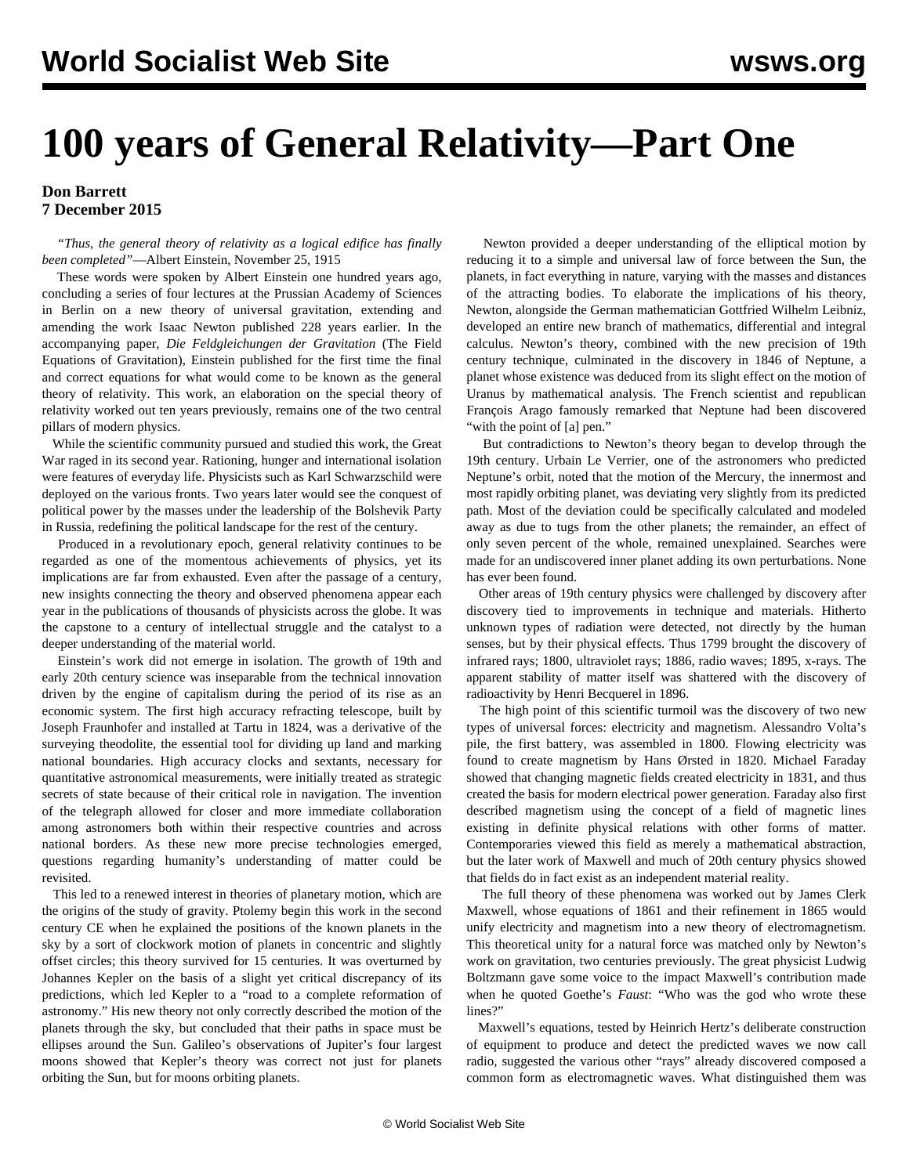## **100 years of General Relativity—Part One**

## **Don Barrett 7 December 2015**

 *"Thus, the general theory of relativity as a logical edifice has finally been completed"*—Albert Einstein, November 25, 1915

 These words were spoken by Albert Einstein one hundred years ago, concluding a series of four lectures at the Prussian Academy of Sciences in Berlin on a new theory of universal gravitation, extending and amending the work Isaac Newton published 228 years earlier. In the accompanying paper, *Die Feldgleichungen der Gravitation* (The Field Equations of Gravitation), Einstein published for the first time the final and correct equations for what would come to be known as the general theory of relativity. This work, an elaboration on the special theory of relativity worked out ten years previously, remains one of the two central pillars of modern physics.

 While the scientific community pursued and studied this work, the Great War raged in its second year. Rationing, hunger and international isolation were features of everyday life. Physicists such as Karl Schwarzschild were deployed on the various fronts. Two years later would see the conquest of political power by the masses under the leadership of the Bolshevik Party in Russia, redefining the political landscape for the rest of the century.

 Produced in a revolutionary epoch, general relativity continues to be regarded as one of the momentous achievements of physics, yet its implications are far from exhausted. Even after the passage of a century, new insights connecting the theory and observed phenomena appear each year in the publications of thousands of physicists across the globe. It was the capstone to a century of intellectual struggle and the catalyst to a deeper understanding of the material world.

 Einstein's work did not emerge in isolation. The growth of 19th and early 20th century science was inseparable from the technical innovation driven by the engine of capitalism during the period of its rise as an economic system. The first high accuracy refracting telescope, built by Joseph Fraunhofer and installed at Tartu in 1824, was a derivative of the surveying theodolite, the essential tool for dividing up land and marking national boundaries. High accuracy clocks and sextants, necessary for quantitative astronomical measurements, were initially treated as strategic secrets of state because of their critical role in navigation. The invention of the telegraph allowed for closer and more immediate collaboration among astronomers both within their respective countries and across national borders. As these new more precise technologies emerged, questions regarding humanity's understanding of matter could be revisited.

 This led to a renewed interest in theories of planetary motion, which are the origins of the study of gravity. Ptolemy begin this work in the second century CE when he explained the positions of the known planets in the sky by a sort of clockwork motion of planets in concentric and slightly offset circles; this theory survived for 15 centuries. It was overturned by Johannes Kepler on the basis of a slight yet critical discrepancy of its predictions, which led Kepler to a "road to a complete reformation of astronomy." His new theory not only correctly described the motion of the planets through the sky, but concluded that their paths in space must be ellipses around the Sun. Galileo's observations of Jupiter's four largest moons showed that Kepler's theory was correct not just for planets orbiting the Sun, but for moons orbiting planets.

 Newton provided a deeper understanding of the elliptical motion by reducing it to a simple and universal law of force between the Sun, the planets, in fact everything in nature, varying with the masses and distances of the attracting bodies. To elaborate the implications of his theory, Newton, alongside the German mathematician Gottfried Wilhelm Leibniz, developed an entire new branch of mathematics, differential and integral calculus. Newton's theory, combined with the new precision of 19th century technique, culminated in the discovery in 1846 of Neptune, a planet whose existence was deduced from its slight effect on the motion of Uranus by mathematical analysis. The French scientist and republican François Arago famously remarked that Neptune had been discovered "with the point of [a] pen."

 But contradictions to Newton's theory began to develop through the 19th century. Urbain Le Verrier, one of the astronomers who predicted Neptune's orbit, noted that the motion of the Mercury, the innermost and most rapidly orbiting planet, was deviating very slightly from its predicted path. Most of the deviation could be specifically calculated and modeled away as due to tugs from the other planets; the remainder, an effect of only seven percent of the whole, remained unexplained. Searches were made for an undiscovered inner planet adding its own perturbations. None has ever been found.

 Other areas of 19th century physics were challenged by discovery after discovery tied to improvements in technique and materials. Hitherto unknown types of radiation were detected, not directly by the human senses, but by their physical effects. Thus 1799 brought the discovery of infrared rays; 1800, ultraviolet rays; 1886, radio waves; 1895, x-rays. The apparent stability of matter itself was shattered with the discovery of radioactivity by Henri Becquerel in 1896.

 The high point of this scientific turmoil was the discovery of two new types of universal forces: electricity and magnetism. Alessandro Volta's pile, the first battery, was assembled in 1800. Flowing electricity was found to create magnetism by Hans Ørsted in 1820. Michael Faraday showed that changing magnetic fields created electricity in 1831, and thus created the basis for modern electrical power generation. Faraday also first described magnetism using the concept of a field of magnetic lines existing in definite physical relations with other forms of matter. Contemporaries viewed this field as merely a mathematical abstraction, but the later work of Maxwell and much of 20th century physics showed that fields do in fact exist as an independent material reality.

 The full theory of these phenomena was worked out by James Clerk Maxwell, whose equations of 1861 and their refinement in 1865 would unify electricity and magnetism into a new theory of electromagnetism. This theoretical unity for a natural force was matched only by Newton's work on gravitation, two centuries previously. The great physicist Ludwig Boltzmann gave some voice to the impact Maxwell's contribution made when he quoted Goethe's *Faust*: "Who was the god who wrote these lines?"

 Maxwell's equations, tested by Heinrich Hertz's deliberate construction of equipment to produce and detect the predicted waves we now call radio, suggested the various other "rays" already discovered composed a common form as electromagnetic waves. What distinguished them was